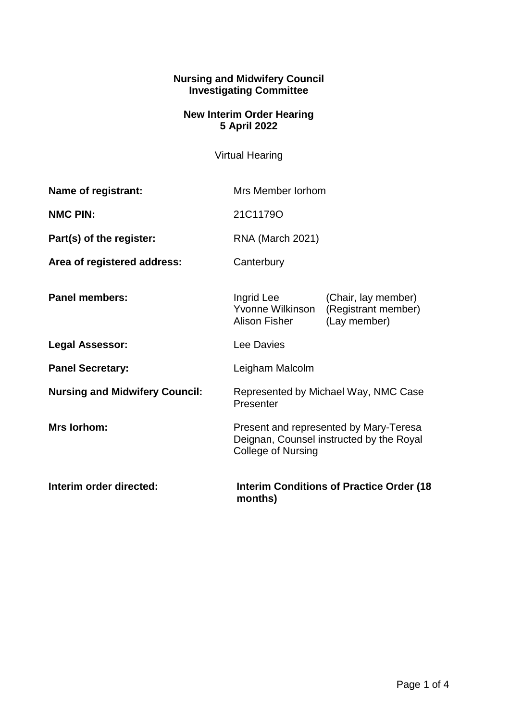## **Nursing and Midwifery Council Investigating Committee**

## **New Interim Order Hearing 5 April 2022**

Virtual Hearing

| Name of registrant:                   | Mrs Member Jorhom                                                                                               |                                                            |
|---------------------------------------|-----------------------------------------------------------------------------------------------------------------|------------------------------------------------------------|
| <b>NMC PIN:</b>                       | 21C1179O                                                                                                        |                                                            |
| Part(s) of the register:              | <b>RNA (March 2021)</b>                                                                                         |                                                            |
| Area of registered address:           | Canterbury                                                                                                      |                                                            |
| <b>Panel members:</b>                 | Ingrid Lee<br>Yvonne Wilkinson<br><b>Alison Fisher</b>                                                          | (Chair, lay member)<br>(Registrant member)<br>(Lay member) |
| <b>Legal Assessor:</b>                | Lee Davies                                                                                                      |                                                            |
| <b>Panel Secretary:</b>               | Leigham Malcolm                                                                                                 |                                                            |
| <b>Nursing and Midwifery Council:</b> | Represented by Michael Way, NMC Case<br>Presenter                                                               |                                                            |
| <b>Mrs lorhom:</b>                    | Present and represented by Mary-Teresa<br>Deignan, Counsel instructed by the Royal<br><b>College of Nursing</b> |                                                            |
| Interim order directed:               | <b>Interim Conditions of Practice Order (18</b><br>months)                                                      |                                                            |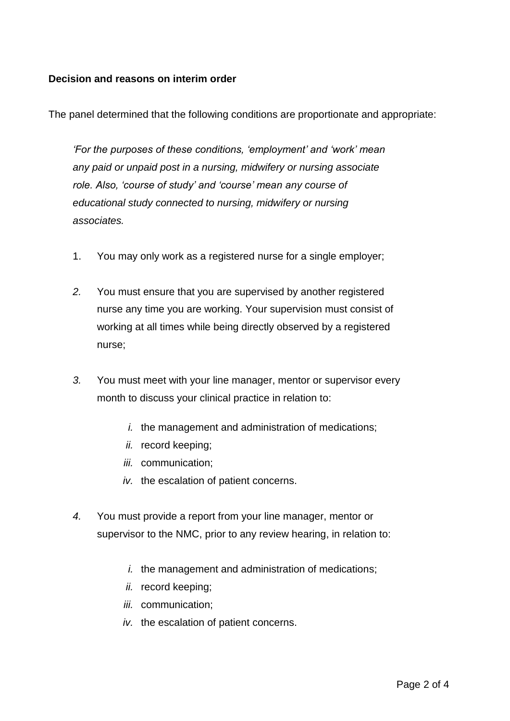## **Decision and reasons on interim order**

The panel determined that the following conditions are proportionate and appropriate:

*'For the purposes of these conditions, 'employment' and 'work' mean any paid or unpaid post in a nursing, midwifery or nursing associate role. Also, 'course of study' and 'course' mean any course of educational study connected to nursing, midwifery or nursing associates.*

- 1. You may only work as a registered nurse for a single employer;
- *2.* You must ensure that you are supervised by another registered nurse any time you are working. Your supervision must consist of working at all times while being directly observed by a registered nurse;
- *3.* You must meet with your line manager, mentor or supervisor every month to discuss your clinical practice in relation to:
	- *i.* the management and administration of medications;
	- *ii.* record keeping;
	- *iii.* communication;
	- *iv.* the escalation of patient concerns.
- *4.* You must provide a report from your line manager, mentor or supervisor to the NMC, prior to any review hearing, in relation to:
	- *i.* the management and administration of medications;
	- *ii.* record keeping;
	- *iii.* communication;
	- *iv.* the escalation of patient concerns.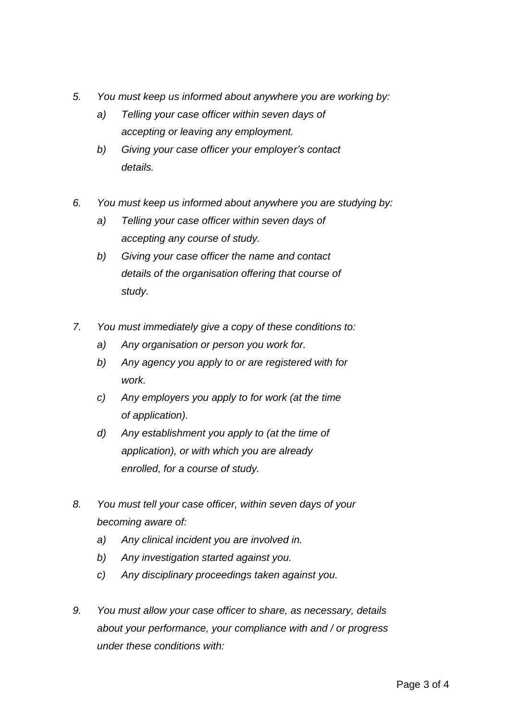- *5. You must keep us informed about anywhere you are working by:* 
	- *a) Telling your case officer within seven days of accepting or leaving any employment.*
	- *b) Giving your case officer your employer's contact details.*
- *6. You must keep us informed about anywhere you are studying by:* 
	- *a) Telling your case officer within seven days of accepting any course of study.*
	- *b) Giving your case officer the name and contact details of the organisation offering that course of study.*
- *7. You must immediately give a copy of these conditions to:* 
	- *a) Any organisation or person you work for.*
	- *b) Any agency you apply to or are registered with for work.*
	- *c) Any employers you apply to for work (at the time of application).*
	- *d) Any establishment you apply to (at the time of application), or with which you are already enrolled, for a course of study.*
- *8. You must tell your case officer, within seven days of your becoming aware of:*
	- *a) Any clinical incident you are involved in.*
	- *b) Any investigation started against you.*
	- *c) Any disciplinary proceedings taken against you.*
- *9. You must allow your case officer to share, as necessary, details about your performance, your compliance with and / or progress under these conditions with:*